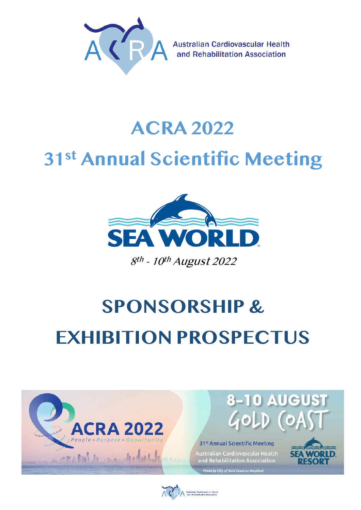

**Australian Cardiovascular Health** and Rehabilitation Association

# **ACRA 2022 31st Annual Scientific Meeting**



8<sup>th</sup> - 10<sup>th</sup> August 2022

# **SPONSORSHIP & EXHIBITION PROSPECTUS**



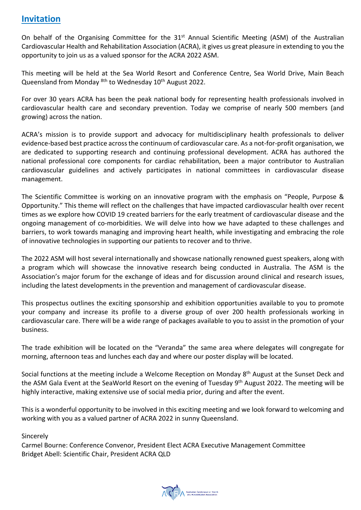### **Invitation**

On behalf of the Organising Committee for the 31<sup>st</sup> Annual Scientific Meeting (ASM) of the Australian Cardiovascular Health and Rehabilitation Association (ACRA), it gives us great pleasure in extending to you the opportunity to join us as a valued sponsor for the ACRA 2022 ASM.

This meeting will be held at the Sea World Resort and Conference Centre, Sea World Drive, Main Beach Queensland from Monday <sup>8th</sup> to Wednesday 10<sup>th</sup> August 2022.

For over 30 years ACRA has been the peak national body for representing health professionals involved in cardiovascular health care and secondary prevention. Today we comprise of nearly 500 members (and growing) across the nation.

ACRA's mission is to provide support and advocacy for multidisciplinary health professionals to deliver evidence-based best practice across the continuum of cardiovascular care. As a not-for-profit organisation, we are dedicated to supporting research and continuing professional development. ACRA has authored the national professional core components for cardiac rehabilitation, been a major contributor to Australian cardiovascular guidelines and actively participates in national committees in cardiovascular disease management.

The Scientific Committee is working on an innovative program with the emphasis on "People, Purpose & Opportunity." This theme will reflect on the challenges that have impacted cardiovascular health over recent times as we explore how COVID 19 created barriers for the early treatment of cardiovascular disease and the ongoing management of co-morbidities. We will delve into how we have adapted to these challenges and barriers, to work towards managing and improving heart health, while investigating and embracing the role of innovative technologies in supporting our patients to recover and to thrive.

The 2022 ASM will host several internationally and showcase nationally renowned guest speakers, along with a program which will showcase the innovative research being conducted in Australia. The ASM is the Association's major forum for the exchange of ideas and for discussion around clinical and research issues, including the latest developments in the prevention and management of cardiovascular disease.

This prospectus outlines the exciting sponsorship and exhibition opportunities available to you to promote your company and increase its profile to a diverse group of over 200 health professionals working in cardiovascular care. There will be a wide range of packages available to you to assist in the promotion of your business.

The trade exhibition will be located on the "Veranda" the same area where delegates will congregate for morning, afternoon teas and lunches each day and where our poster display will be located.

Social functions at the meeting include a Welcome Reception on Monday 8<sup>th</sup> August at the Sunset Deck and the ASM Gala Event at the SeaWorld Resort on the evening of Tuesday 9<sup>th</sup> August 2022. The meeting will be highly interactive, making extensive use of social media prior, during and after the event.

This is a wonderful opportunity to be involved in this exciting meeting and we look forward to welcoming and working with you as a valued partner of ACRA 2022 in sunny Queensland.

Sincerely

Carmel Bourne: Conference Convenor, President Elect ACRA Executive Management Committee Bridget Abell: Scientific Chair, President ACRA QLD

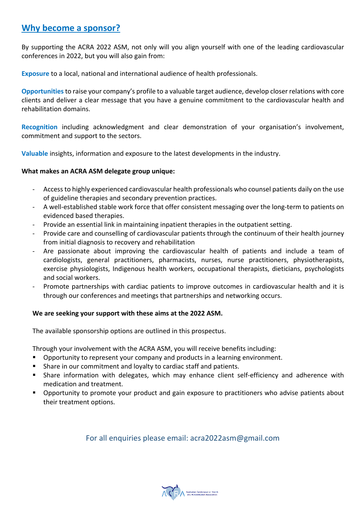## **Why become a sponsor?**

By supporting the ACRA 2022 ASM, not only will you align yourself with one of the leading cardiovascular conferences in 2022, but you will also gain from:

**Exposure** to a local, national and international audience of health professionals.

**Opportunities** to raise your company's profile to a valuable target audience, develop closer relations with core clients and deliver a clear message that you have a genuine commitment to the cardiovascular health and rehabilitation domains.

**Recognition** including acknowledgment and clear demonstration of your organisation's involvement, commitment and support to the sectors.

**Valuable** insights, information and exposure to the latest developments in the industry.

#### **What makes an ACRA ASM delegate group unique:**

- Access to highly experienced cardiovascular health professionals who counsel patients daily on the use of guideline therapies and secondary prevention practices.
- A well-established stable work force that offer consistent messaging over the long-term to patients on evidenced based therapies.
- Provide an essential link in maintaining inpatient therapies in the outpatient setting.
- Provide care and counselling of cardiovascular patients through the continuum of their health journey from initial diagnosis to recovery and rehabilitation
- Are passionate about improving the cardiovascular health of patients and include a team of cardiologists, general practitioners, pharmacists, nurses, nurse practitioners, physiotherapists, exercise physiologists, Indigenous health workers, occupational therapists, dieticians, psychologists and social workers.
- Promote partnerships with cardiac patients to improve outcomes in cardiovascular health and it is through our conferences and meetings that partnerships and networking occurs.

#### **We are seeking your support with these aims at the 2022 ASM.**

The available sponsorship options are outlined in this prospectus.

Through your involvement with the ACRA ASM, you will receive benefits including:

- Opportunity to represent your company and products in a learning environment.
- Share in our commitment and loyalty to cardiac staff and patients.
- § Share information with delegates, which may enhance client self-efficiency and adherence with medication and treatment.
- Opportunity to promote your product and gain exposure to practitioners who advise patients about their treatment options.

For all enquiries please email: acra2022asm@gmail.com

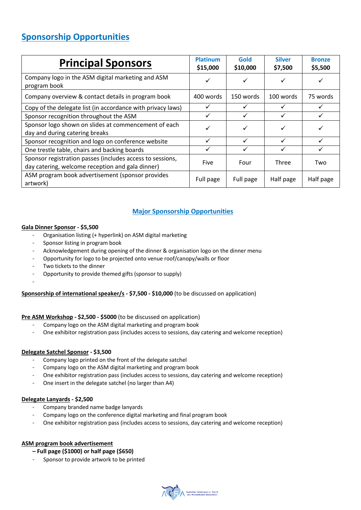# **Sponsorship Opportunities**

| <b>Principal Sponsors</b>                                                                                     | <b>Platinum</b><br>\$15,000 | Gold<br>\$10,000 | <b>Silver</b><br>\$7,500 | <b>Bronze</b><br>\$5,500 |
|---------------------------------------------------------------------------------------------------------------|-----------------------------|------------------|--------------------------|--------------------------|
| Company logo in the ASM digital marketing and ASM<br>program book                                             |                             | ✓                |                          |                          |
| Company overview & contact details in program book                                                            | 400 words                   | 150 words        | 100 words                | 75 words                 |
| Copy of the delegate list (in accordance with privacy laws)                                                   |                             |                  |                          |                          |
| Sponsor recognition throughout the ASM                                                                        |                             | ✓                |                          |                          |
| Sponsor logo shown on slides at commencement of each<br>day and during catering breaks                        |                             | ✓                |                          |                          |
| Sponsor recognition and logo on conference website                                                            | ✓                           | ✓                | ✓                        |                          |
| One trestle table, chairs and backing boards                                                                  |                             |                  |                          |                          |
| Sponsor registration passes (includes access to sessions,<br>day catering, welcome reception and gala dinner) | Five                        | Four             | Three                    | Two                      |
| ASM program book advertisement (sponsor provides<br>artwork)                                                  | Full page                   | Full page        | Half page                | Half page                |

#### **Major Sponsorship Opportunities**

#### **Gala Dinner Sponsor - \$5,500**

- Organisation listing (+ hyperlink) on ASM digital marketing
- Sponsor listing in program book
- Acknowledgement during opening of the dinner & organisation logo on the dinner menu
- Opportunity for logo to be projected onto venue roof/canopy/walls or floor
- Two tickets to the dinner
- Opportunity to provide themed gifts (sponsor to supply) -

#### **Sponsorship of international speaker/s - \$7,500 - \$10,000** (to be discussed on application)

#### **Pre ASM Workshop - \$2,500 - \$5000** (to be discussed on application)

- Company logo on the ASM digital marketing and program book
- One exhibitor registration pass (includes access to sessions, day catering and welcome reception)

#### **Delegate Satchel Sponsor - \$3,500**

- Company logo printed on the front of the delegate satchel
- Company logo on the ASM digital marketing and program book
- One exhibitor registration pass (includes access to sessions, day catering and welcome reception)
- One insert in the delegate satchel (no larger than A4)

#### **Delegate Lanyards - \$2,500**

- Company branded name badge lanyards
- Company logo on the conference digital marketing and final program book
- One exhibitor registration pass (includes access to sessions, day catering and welcome reception)

#### **ASM program book advertisement**

- **Full page (\$1000) or half page (\$650)**
- Sponsor to provide artwork to be printed

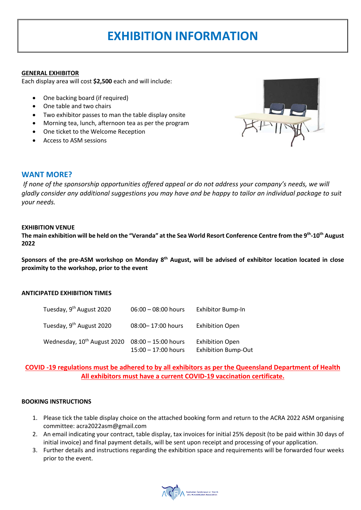# **EXHIBITION INFORMATION**

#### **GENERAL EXHIBITOR**

Each display area will cost **\$2,500** each and will include:

- One backing board (if required)
- One table and two chairs
- Two exhibitor passes to man the table display onsite
- Morning tea, lunch, afternoon tea as per the program
- One ticket to the Welcome Reception
- Access to ASM sessions



#### **WANT MORE?**

*If none of the sponsorship opportunities offered appeal or do not address your company's needs, we will gladly consider any additional suggestions you may have and be happy to tailor an individual package to suit your needs.* 

#### **EXHIBITION VENUE**

**The main exhibition will be held on the "Veranda" at the Sea World Resort Conference Centre from the 9 th-10th August 2022** 

**Sponsors of the pre-ASM workshop on Monday 8th August, will be advised of exhibitor location located in close proximity to the workshop, prior to the event**

#### **ANTICIPATED EXHIBITION TIMES**

| Tuesday, 9 <sup>th</sup> August 2020    | $06:00 - 08:00$ hours                          | Exhibitor Bump-In                                    |
|-----------------------------------------|------------------------------------------------|------------------------------------------------------|
| Tuesday, 9 <sup>th</sup> August 2020    | 08:00-17:00 hours                              | <b>Exhibition Open</b>                               |
| Wednesday, 10 <sup>th</sup> August 2020 | $08:00 - 15:00$ hours<br>$15:00 - 17:00$ hours | <b>Exhibition Open</b><br><b>Exhibition Bump-Out</b> |

#### **COVID -19 regulations must be adhered to by all exhibitors as per the Queensland Department of Health All exhibitors must have a current COVID-19 vaccination certificate.**

#### **BOOKING INSTRUCTIONS**

- 1. Please tick the table display choice on the attached booking form and return to the ACRA 2022 ASM organising committee: acra2022asm@gmail.com
- 2. An email indicating your contract, table display, tax invoices for initial 25% deposit (to be paid within 30 days of initial invoice) and final payment details, will be sent upon receipt and processing of your application.
- 3. Further details and instructions regarding the exhibition space and requirements will be forwarded four weeks prior to the event.

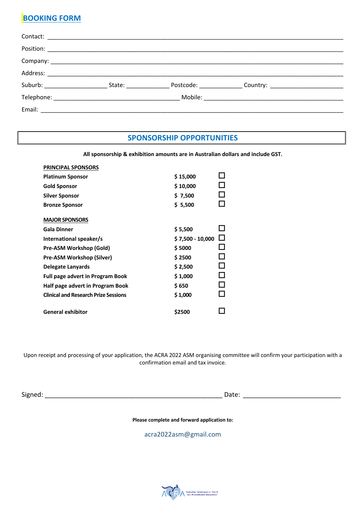# **BOOKING FORM**

|  | State: the state of the state of the state of the state of the state of the state of the state of the state of the state of the state of the state of the state of the state of the state of the state of the state of the sta |  |
|--|--------------------------------------------------------------------------------------------------------------------------------------------------------------------------------------------------------------------------------|--|
|  |                                                                                                                                                                                                                                |  |
|  |                                                                                                                                                                                                                                |  |

### **SPONSORSHIP OPPORTUNITIES**

**All sponsorship & exhibition amounts are in Australian dollars and include GST.** 

| <b>PRINCIPAL SPONSORS</b>                   |                  |     |
|---------------------------------------------|------------------|-----|
| <b>Platinum Sponsor</b>                     | \$15,000         |     |
| Gold Sponsor                                | \$10,000         |     |
| Silver Sponsor                              | \$7,500          |     |
| <b>Bronze Sponsor</b>                       | \$5,500          |     |
| <b>MAJOR SPONSORS</b>                       |                  |     |
| <b>Gala Dinner</b>                          | \$5,500          |     |
| International speaker/s                     | \$7,500 - 10,000 | l I |
| Pre-ASM Workshop (Gold)                     | \$5000           |     |
| Pre-ASM Workshop (Silver)                   | \$2500           |     |
| Delegate Lanyards                           | \$2,500          |     |
| <b>Full page advert in Program Book</b>     | \$1,000          |     |
| Half page advert in Program Book            | \$650            |     |
| <b>Clinical and Research Prize Sessions</b> | \$1,000          |     |
| <b>General exhibitor</b>                    | \$2500           |     |

Upon receipt and processing of your application, the ACRA 2022 ASM organising committee will confirm your participation with a confirmation email and tax invoice.

Signed: \_\_\_\_\_\_\_\_\_\_\_\_\_\_\_\_\_\_\_\_\_\_\_\_\_\_\_\_\_\_\_\_\_\_\_\_\_\_\_\_\_\_\_\_\_\_\_\_\_ Date: \_\_\_\_\_\_\_\_\_\_\_\_\_\_\_\_\_\_\_\_\_\_\_\_\_\_\_

**Please complete and forward application to:**

acra2022asm@gmail.com